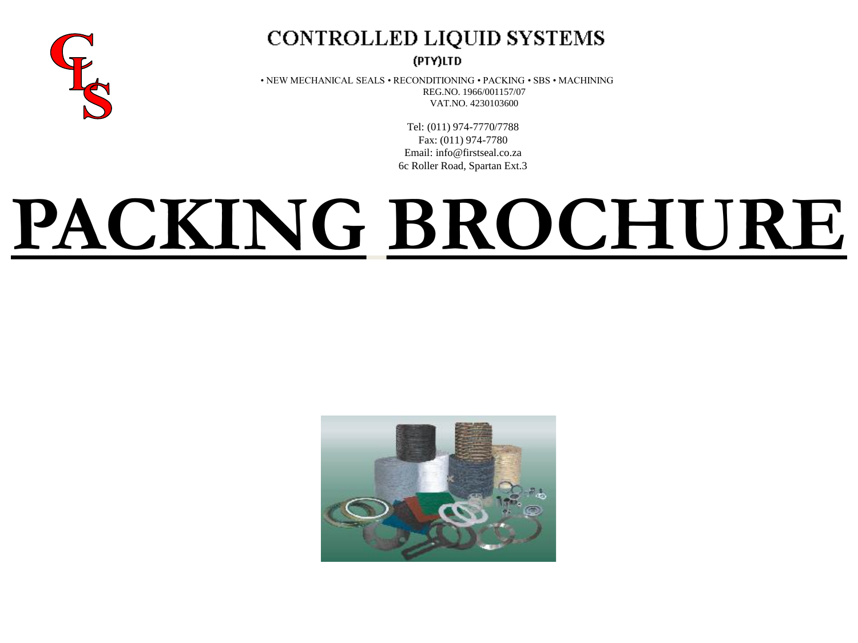

## CONTROLLED LIQUID SYSTEMS

(PTY)LTD

• NEW MECHANICAL SEALS • RECONDITIONING • PACKING • SBS • MACHINING REG.NO. 1966/001157/07 VAT.NO. 4230103600

> Tel: (011) 974-7770/7788 Fax: (011) 974-7780 Email: info@firstseal.co.za 6c Roller Road, Spartan Ext.3

# **PACKING BROCHURE**

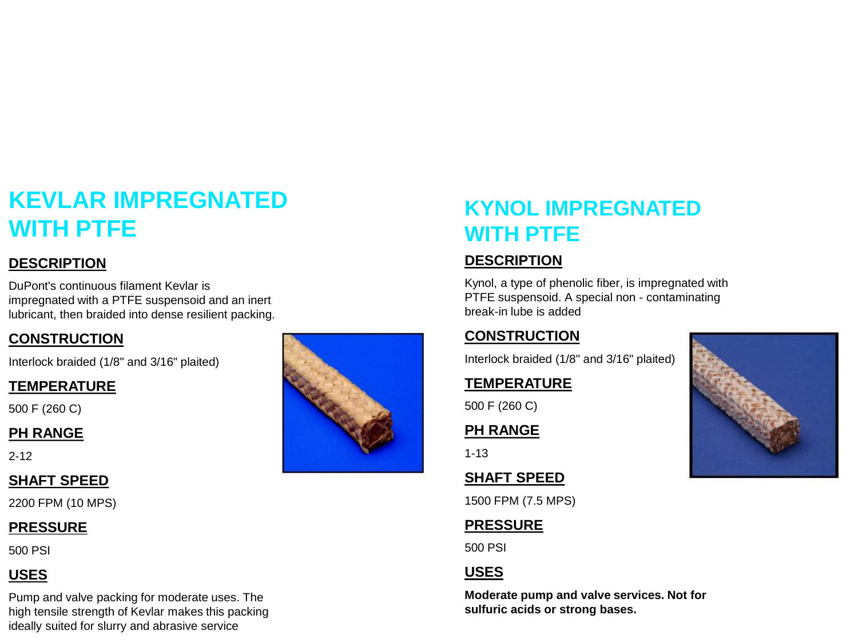## **KEVLAR IMPREGNATED WITH PTFE**

#### **DESCRIPTION**

DuPont's continuous filament Kevlar is impregnated with a PTFE suspensoid and an inert lubricant, then braided into dense resilient packing.

#### **CONSTRUCTION**

Interlock braided (1/8" and 3/16" plaited)

#### **TEMPERATURE**

500 F (260 C)

#### **PH RANGE**

2-12

#### **SHAFT SPEED**

2200 FPM (10 MPS)

#### **PRESSURE**

500 PSI

#### **USES**

Pump and valve packing for moderate uses. The high tensile strength of Kevlar makes this packing ideally suited for slurry and abrasive service



## **KYNOL IMPREGNATED WITH PTFE**

#### **DESCRIPTION**

Kynol, a type of phenolic fiber, is impregnated with PTFE suspensoid. A special non - contaminating break-in lube is added

#### **CONSTRUCTION**

Interlock braided (1/8" and 3/16" plaited)

#### **TEMPERATURE**

500 F (260 C)

#### **PH RANGE**

1-13

#### **SHAFT SPEED**

1500 FPM (7.5 MPS)

#### **PRESSURE**

500 PSI

#### **USES**

**Moderate pump and valve services. Not for sulfuric acids or strong bases.**

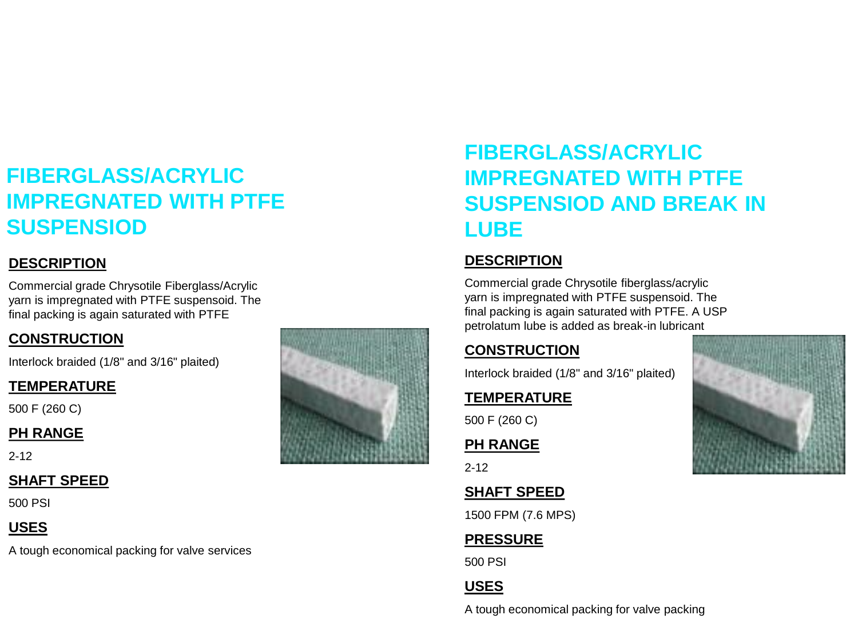## **FIBERGLASS/ACRYLIC IMPREGNATED WITH PTFE SUSPENSIOD**

#### **DESCRIPTION**

Commercial grade Chrysotile Fiberglass/Acrylic yarn is impregnated with PTFE suspensoid. The final packing is again saturated with PTFE

#### **CONSTRUCTION**

Interlock braided (1/8" and 3/16" plaited)

#### **TEMPERATURE**

500 F (260 C)

#### **PH RANGE**

2-12

#### **SHAFT SPEED**

500 PSI

#### **USES**

A tough economical packing for valve services



## **FIBERGLASS/ACRYLIC IMPREGNATED WITH PTFE SUSPENSIOD AND BREAK IN LUBE**

#### **DESCRIPTION**

Commercial grade Chrysotile fiberglass/acrylic yarn is impregnated with PTFE suspensoid. The final packing is again saturated with PTFE. A USP petrolatum lube is added as break -in lubricant

#### **CONSTRUCTION**

Interlock braided (1/8" and 3/16" plaited)

#### **TEMPERATURE**

500 F (260 C)

**PH RANGE**

2-12

#### **SHAFT SPEED**

1500 FPM (7.6 MPS)

#### **PRESSURE**

500 PSI

#### **USES**

A tough economical packing for valve packing

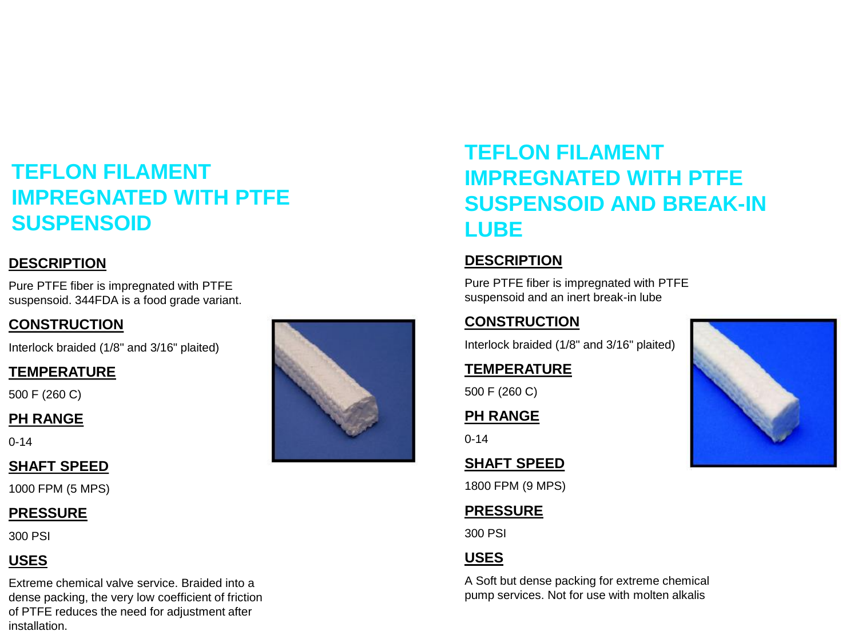## **TEFLON FILAMENT IMPREGNATED WITH PTFE SUSPENSOID**

#### **DESCRIPTION**

Pure PTFE fiber is impregnated with PTFE suspensoid. 344FDA is a food grade variant.

#### **CONSTRUCTION**

Interlock braided (1/8" and 3/16" plaited)

#### **TEMPERATURE**

500 F (260 C)

#### **PH RANGE**

0-14

#### **SHAFT SPEED**

1000 FPM (5 MPS)

#### **PRESSURE**

300 PSI

### **USES**

Extreme chemical valve service. Braided into a dense packing, the very low coefficient of friction of PTFE reduces the need for adjustment after installation.



## **TEFLON FILAMENT IMPREGNATED WITH PTFE SUSPENSOID AND BREAK-IN LUBE**

#### **DESCRIPTION**

Pure PTFE fiber is impregnated with PTFE suspensoid and an inert break-in lube

#### **CONSTRUCTION**

Interlock braided (1/8" and 3/16" plaited)

#### **TEMPERATURE**

500 F (260 C)

#### **PH RANGE**

0-14

#### **SHAFT SPEED**

1800 FPM (9 MPS)

#### **PRESSURE**

300 PSI

#### **USES**

A Soft but dense packing for extreme chemical pump services. Not for use with molten alkalis

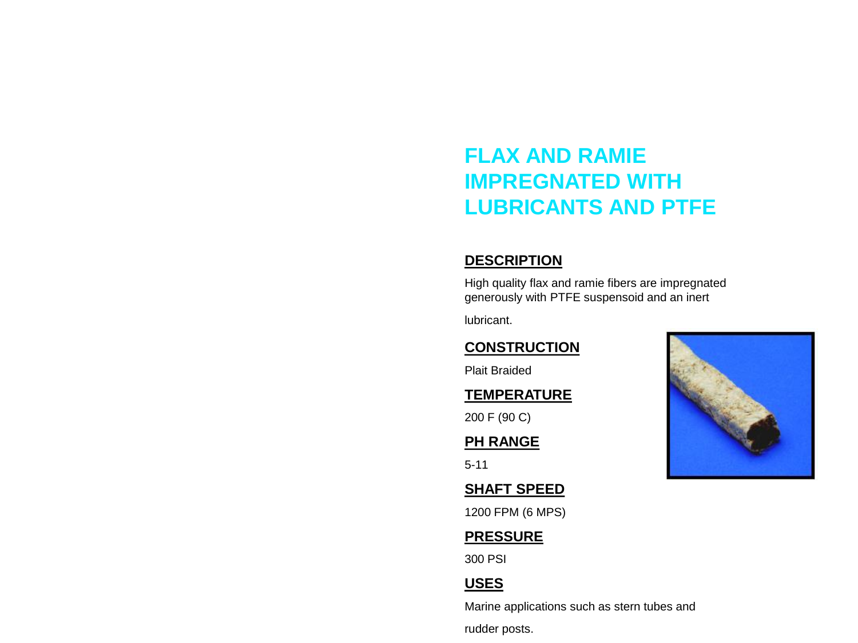## **FLAX AND RAMIE IMPREGNATED WITH LUBRICANTS AND PTFE**

#### **DESCRIPTION**

High quality flax and ramie fibers are impregnated generously with PTFE suspensoid and an inert

lubricant.

#### **CONSTRUCTION**

Plait Braided

#### **TEMPERATURE**

200 F (90 C)

#### **PH RANGE**

5-11

#### **SHAFT SPEED**

1200 FPM (6 MPS)

#### **PRESSURE**

300 PSI

#### **USES**

Marine applications such as stern tubes and rudder posts.

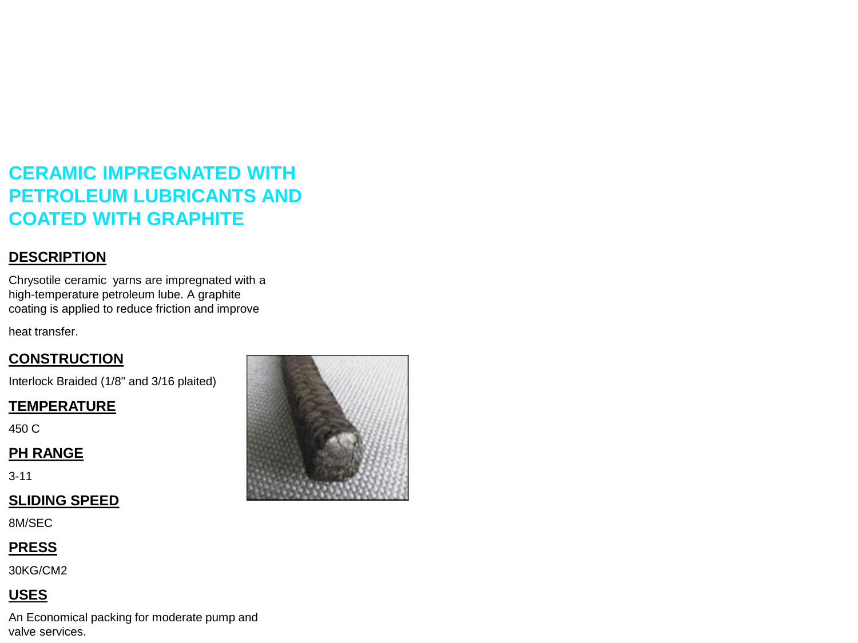## **CERAMIC IMPREGNATED WITH PETROLEUM LUBRICANTS AND COATED WITH GRAPHITE**

#### **DESCRIPTION**

Chrysotile ceramic yarns are impregnated with a high-temperature petroleum lube. A graphite coating is applied to reduce friction and improve

heat transfer.

#### **CONSTRUCTION**

Interlock Braided (1/8" and 3/16 plaited)

#### **TEMPERATURE**

450 C

#### **PH RANGE**

3-11

#### **SLIDING SPEED**

8M/SEC

#### **PRESS**

30KG/CM2

#### **USES**

An Economical packing for moderate pump and valve services.

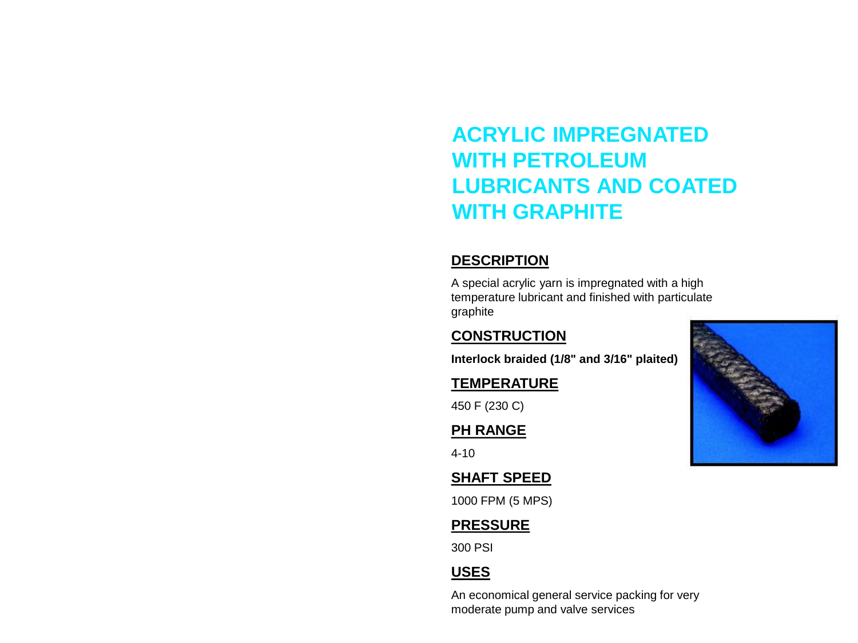## **ACRYLIC IMPREGNATED WITH PETROLEUM LUBRICANTS AND COATED WITH GRAPHITE**

#### **DESCRIPTION**

A special acrylic yarn is impregnated with a high temperature lubricant and finished with particulate graphite

#### **CONSTRUCTION**

**Interlock braided (1/8" and 3/16" plaited)**

#### **TEMPERATURE**

450 F (230 C)

#### **PH RANGE**

4-10

#### **SHAFT SPEED**

1000 FPM (5 MPS)

#### **PRESSURE**

300 PSI

#### **USES**

An economical general service packing for very moderate pump and valve services

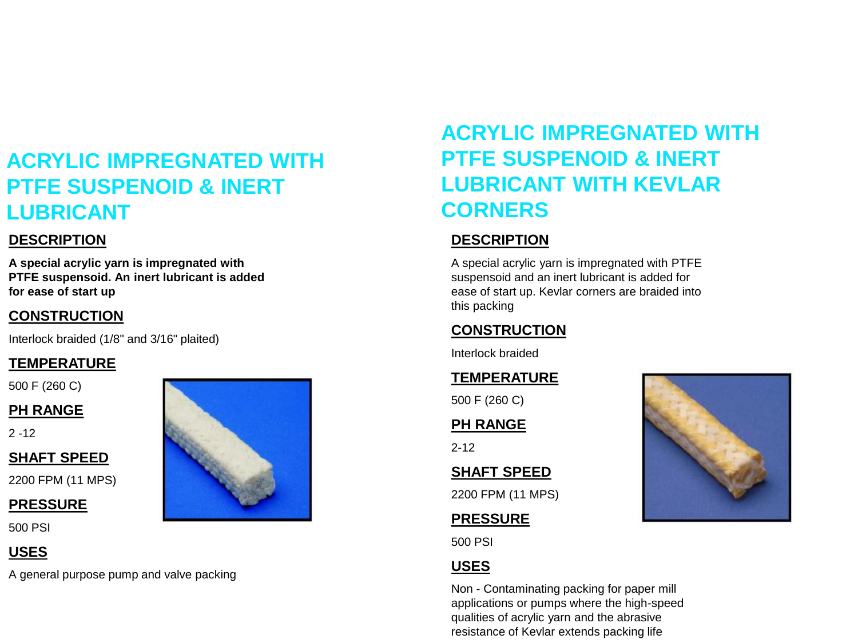## **ACRYLIC IMPREGNATED WITH PTFE SUSPENOID & INERT LUBRICANT**

#### **DESCRIPTION**

**A special acrylic yarn is impregnated with PTFE suspensoid. An inert lubricant is added for ease of start up**

#### **CONSTRUCTION**

Interlock braided (1/8" and 3/16" plaited)

#### **TEMPERATURE**

500 F (260 C)

#### **PH RANGE**

 $2 - 12$ 

#### **SHAFT SPEED**

2200 FPM (11 MPS)

#### **PRESSURE**

500 PSI

#### **USES**

A general purpose pump and valve packing



## **ACRYLIC IMPREGNATED WITH PTFE SUSPENOID & INERT LUBRICANT WITH KEVLAR CORNERS**

#### **DESCRIPTION**

A special acrylic yarn is impregnated with PTFE suspensoid and an inert lubricant is added for ease of start up. Kevlar corners are braided into this packing

#### **CONSTRUCTION**

Interlock braided

#### **TEMPERATURE**

500 F (260 C)

**PH RANGE**

2-12

**SHAFT SPEED**

2200 FPM (11 MPS)

#### **PRESSURE**

500 PSI

#### **USES**

Non - Contaminating packing for paper mill applications or pumps where the high-speed qualities of acrylic yarn and the abrasive resistance of Kevlar extends packing life

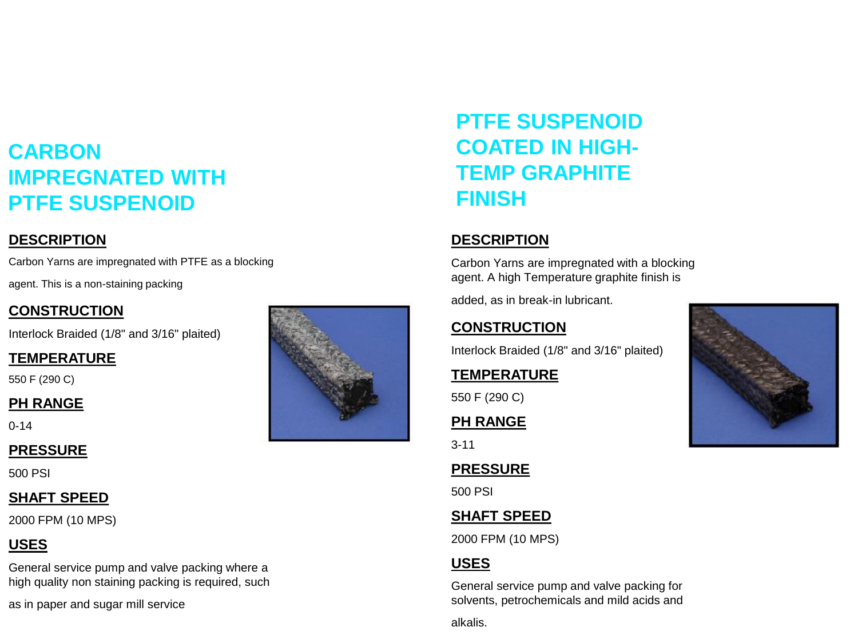## **CARBON IMPREGNATED WITH PTFE SUSPENOID**

#### **DESCRIPTION**

Carbon Yarns are impregnated with PTFE as a blocking

agent. This is a non-staining packing

#### **CONSTRUCTION**

Interlock Braided (1/8" and 3/16" plaited)

#### **TEMPERATURE**

550 F (290 C)

#### **PH RANGE**

0-14

#### **PRESSURE**

500 PSI

#### **SHAFT SPEED**

2000 FPM (10 MPS)

#### **USES**

General service pump and valve packing where a high quality non staining packing is required, such

as in paper and sugar mill service



## **PTFE SUSPENOID COATED IN HIGH-TEMP GRAPHITE FINISH**

#### **DESCRIPTION**

Carbon Yarns are impregnated with a blocking agent. A high Temperature graphite finish is

added, as in break-in lubricant.

#### **CONSTRUCTION**

Interlock Braided (1/8" and 3/16" plaited)

#### **TEMPERATURE**

550 F (290 C)

#### **PH RANGE**

3-11

#### **PRESSURE**

500 PSI

#### **SHAFT SPEED**

2000 FPM (10 MPS)

#### **USES**

General service pump and valve packing for solvents, petrochemicals and mild acids and

alkalis.

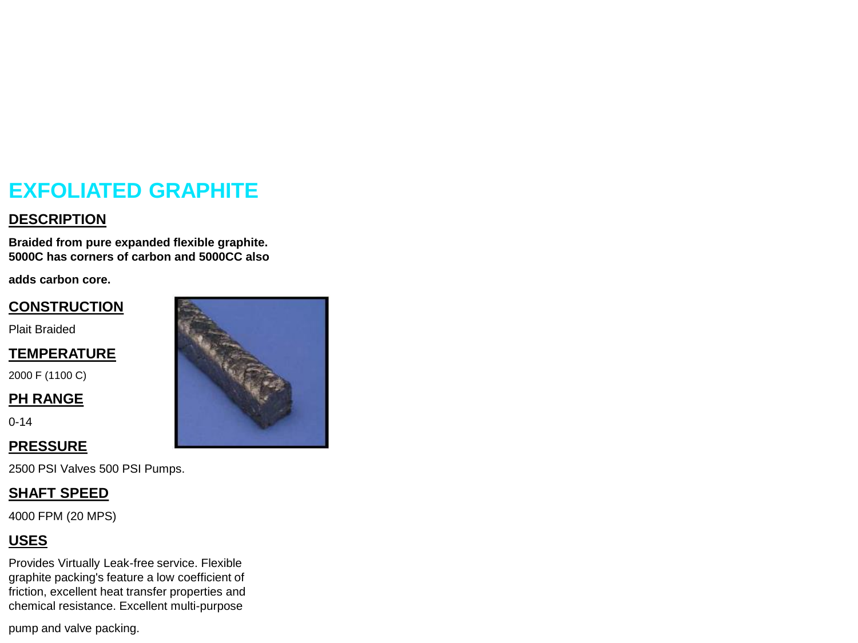## **EXFOLIATED GRAPHITE**

#### **DESCRIPTION**

**Braided from pure expanded flexible graphite. 5000C has corners of carbon and 5000CC also** 

**adds carbon core.**

#### **CONSTRUCTION**

Plait Braided

#### **TEMPERATURE**

2000 F (1100 C)

#### **PH RANGE**

0-14

#### **PRESSURE**

2500 PSI Valves 500 PSI Pumps.

#### **SHAFT SPEED**

4000 FPM (20 MPS)

#### **USES**

Provides Virtually Leak-free service. Flexible graphite packing's feature a low coefficient of friction, excellent heat transfer properties and chemical resistance. Excellent multi-purpose

pump and valve packing.

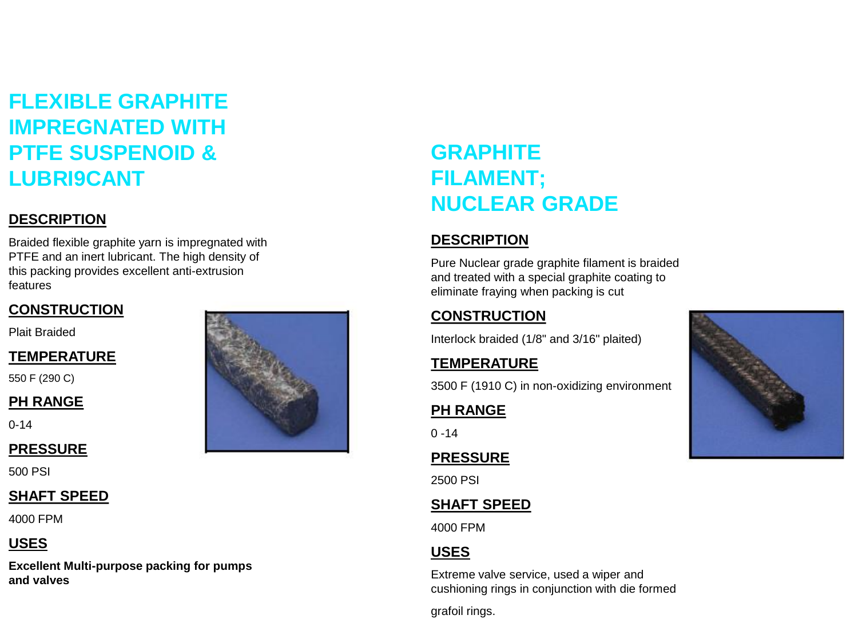## **FLEXIBLE GRAPHITE IMPREGNATED WITH PTFE SUSPENOID & LUBRI9CANT**

#### **DESCRIPTION**

Braided flexible graphite yarn is impregnated with PTFE and an inert lubricant. The high density of this packing provides excellent anti-extrusion features

#### **CONSTRUCTION**

Plait Braided

#### **TEMPERATURE**

550 F (290 C)

#### **PH RANGE**

0-14

#### **PRESSURE**

500 PSI

#### **SHAFT SPEED**

4000 FPM

#### **USES**

**Excellent Multi-purpose packing for pumps and valves**

## **GRAPHITE FILAMENT; NUCLEAR GRADE**

#### **DESCRIPTION**

Pure Nuclear grade graphite filament is braided and treated with a special graphite coating to eliminate fraying when packing is cut

#### **CONSTRUCTION**

Interlock braided (1/8" and 3/16" plaited)

#### **TEMPERATURE**

3500 F (1910 C) in non-oxidizing environment

#### **PH RANGE**

 $0 - 14$ 

#### **PRESSURE**

2500 PSI

#### **SHAFT SPEED**

4000 FPM

#### **USES**

Extreme valve service, used a wiper and cushioning rings in conjunction with die formed

grafoil rings.

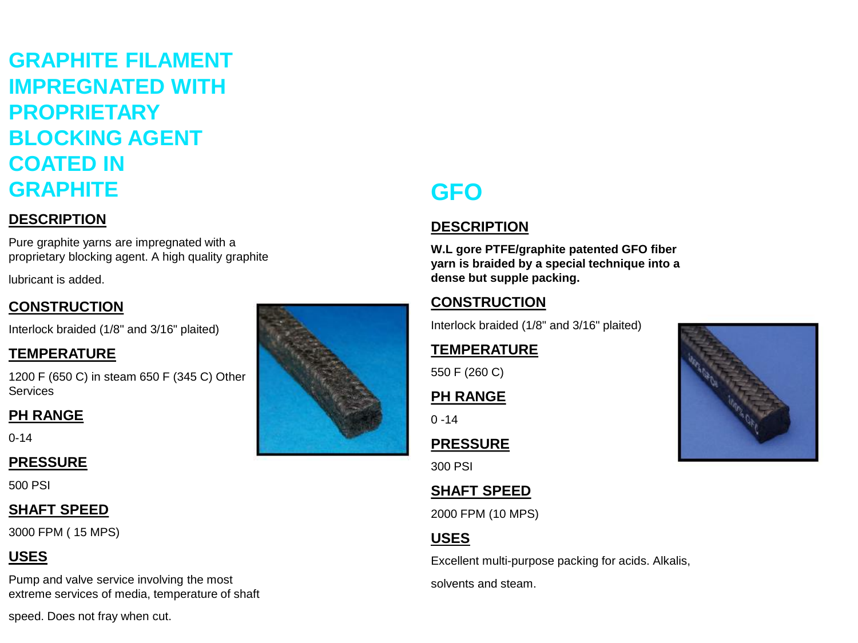## **GRAPHITE FILAMENT IMPREGNATED WITH PROPRIETARY BLOCKING AGENT COATED IN GRAPHITE**

#### **DESCRIPTION**

Pure graphite yarns are impregnated with a proprietary blocking agent. A high quality graphite

lubricant is added.

#### **CONSTRUCTION**

Interlock braided (1/8" and 3/16" plaited)

#### **TEMPERATURE**

1200 F (650 C) in steam 650 F (345 C) Other **Services** 

#### **PH RANGE**

0-14

#### **PRESSURE**

500 PSI

#### **SHAFT SPEED**

3000 FPM ( 15 MPS)

#### **USES**

Pump and valve service involving the most extreme services of media, temperature of shaft

speed. Does not fray when cut.



## **GFO**

#### **DESCRIPTION**

**W.L gore PTFE/graphite patented GFO fiber yarn is braided by a special technique into a dense but supple packing.**

#### **CONSTRUCTION**

Interlock braided (1/8" and 3/16" plaited)

#### **TEMPERATURE**

550 F (260 C)

#### **PH RANGE**

 $0 - 14$ 

#### **PRESSURE**

300 PSI

#### **SHAFT SPEED**

2000 FPM (10 MPS)

#### **USES**

Excellent multi-purpose packing for acids. Alkalis,

solvents and steam.

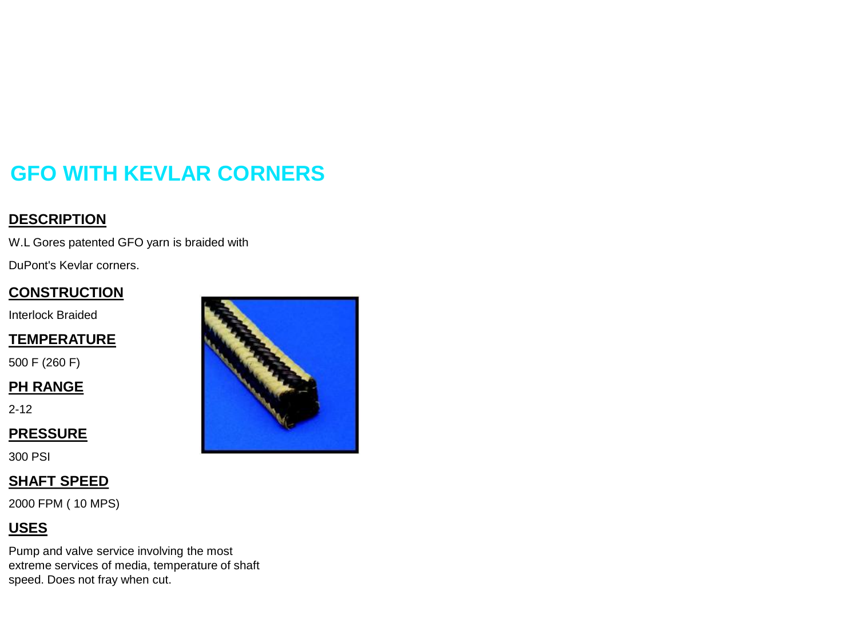## **GFO WITH KEVLAR CORNERS**

#### **DESCRIPTION**

W.L Gores patented GFO yarn is braided with

DuPont's Kevlar corners.

#### **CONSTRUCTION**

Interlock Braided

#### **TEMPERATURE**

500 F (260 F)

#### **PH RANGE**

2-12

#### **PRESSURE**

300 PSI

#### **SHAFT SPEED**

2000 FPM ( 10 MPS)

#### **USES**

Pump and valve service involving the most extreme services of media, temperature of shaft speed. Does not fray when cut.